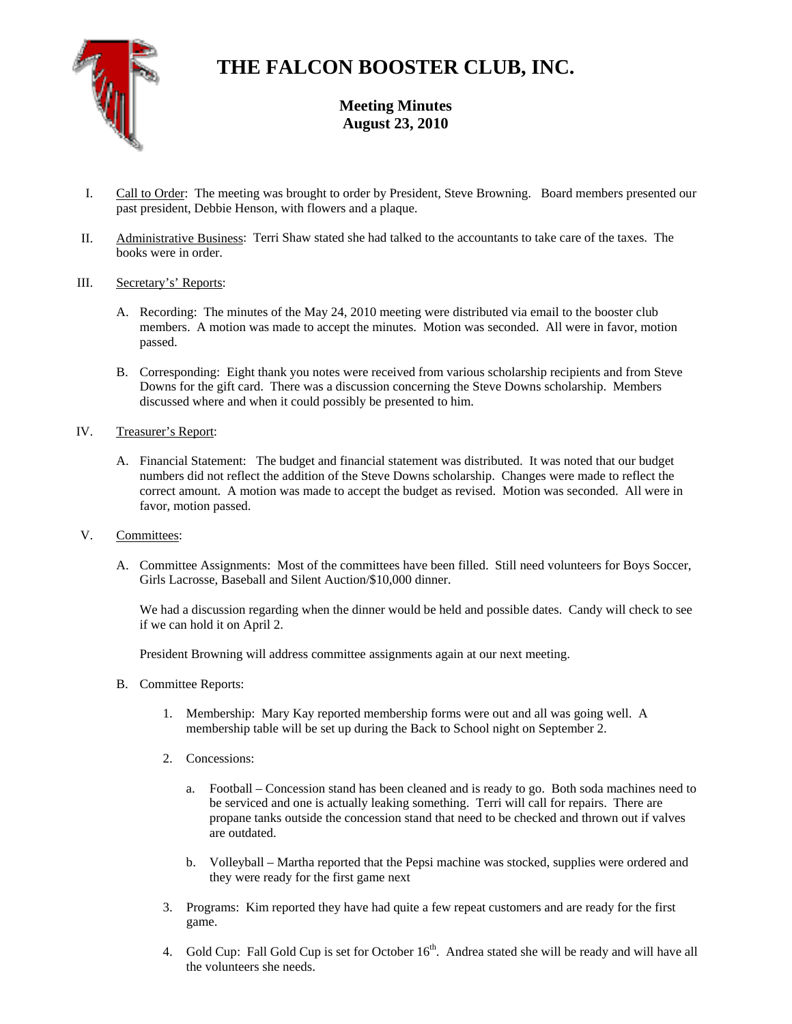

# **THE FALCON BOOSTER CLUB, INC.**

**Meeting Minutes August 23, 2010** 

- I. Call to Order: The meeting was brought to order by President, Steve Browning. Board members presented our past president, Debbie Henson, with flowers and a plaque.
- II. Administrative Business: Terri Shaw stated she had talked to the accountants to take care of the taxes. The books were in order.
- III. Secretary's' Reports:
	- A. Recording: The minutes of the May 24, 2010 meeting were distributed via email to the booster club members. A motion was made to accept the minutes. Motion was seconded. All were in favor, motion passed.
	- B. Corresponding: Eight thank you notes were received from various scholarship recipients and from Steve Downs for the gift card. There was a discussion concerning the Steve Downs scholarship. Members discussed where and when it could possibly be presented to him.
- IV. Treasurer's Report:
	- A. Financial Statement: The budget and financial statement was distributed. It was noted that our budget numbers did not reflect the addition of the Steve Downs scholarship. Changes were made to reflect the correct amount. A motion was made to accept the budget as revised. Motion was seconded. All were in favor, motion passed.
- V. Committees:
	- A. Committee Assignments: Most of the committees have been filled. Still need volunteers for Boys Soccer, Girls Lacrosse, Baseball and Silent Auction/\$10,000 dinner.

We had a discussion regarding when the dinner would be held and possible dates. Candy will check to see if we can hold it on April 2.

President Browning will address committee assignments again at our next meeting.

- B. Committee Reports:
	- 1. Membership: Mary Kay reported membership forms were out and all was going well. A membership table will be set up during the Back to School night on September 2.
	- 2. Concessions:
		- a. Football Concession stand has been cleaned and is ready to go. Both soda machines need to be serviced and one is actually leaking something. Terri will call for repairs. There are propane tanks outside the concession stand that need to be checked and thrown out if valves are outdated.
		- b. Volleyball Martha reported that the Pepsi machine was stocked, supplies were ordered and they were ready for the first game next
	- 3. Programs: Kim reported they have had quite a few repeat customers and are ready for the first game.
	- 4. Gold Cup: Fall Gold Cup is set for October 16<sup>th</sup>. Andrea stated she will be ready and will have all the volunteers she needs.